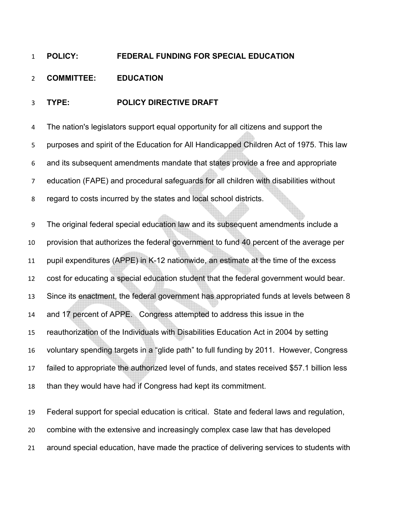## **POLICY: FEDERAL FUNDING FOR SPECIAL EDUCATION**

## **COMMITTEE: EDUCATION**

## **TYPE: POLICY DIRECTIVE DRAFT**

The nation's legislators support equal opportunity for all citizens and support the purposes and spirit of the Education for All Handicapped Children Act of 1975. This law and its subsequent amendments mandate that states provide a free and appropriate education (FAPE) and procedural safeguards for all children with disabilities without regard to costs incurred by the states and local school districts.

The original federal special education law and its subsequent amendments include a provision that authorizes the federal government to fund 40 percent of the average per pupil expenditures (APPE) in K-12 nationwide, an estimate at the time of the excess cost for educating a special education student that the federal government would bear. Since its enactment, the federal government has appropriated funds at levels between 8 and 17 percent of APPE. Congress attempted to address this issue in the reauthorization of the Individuals with Disabilities Education Act in 2004 by setting voluntary spending targets in a "glide path" to full funding by 2011. However, Congress failed to appropriate the authorized level of funds, and states received \$57.1 billion less than they would have had if Congress had kept its commitment.

Federal support for special education is critical. State and federal laws and regulation, combine with the extensive and increasingly complex case law that has developed around special education, have made the practice of delivering services to students with